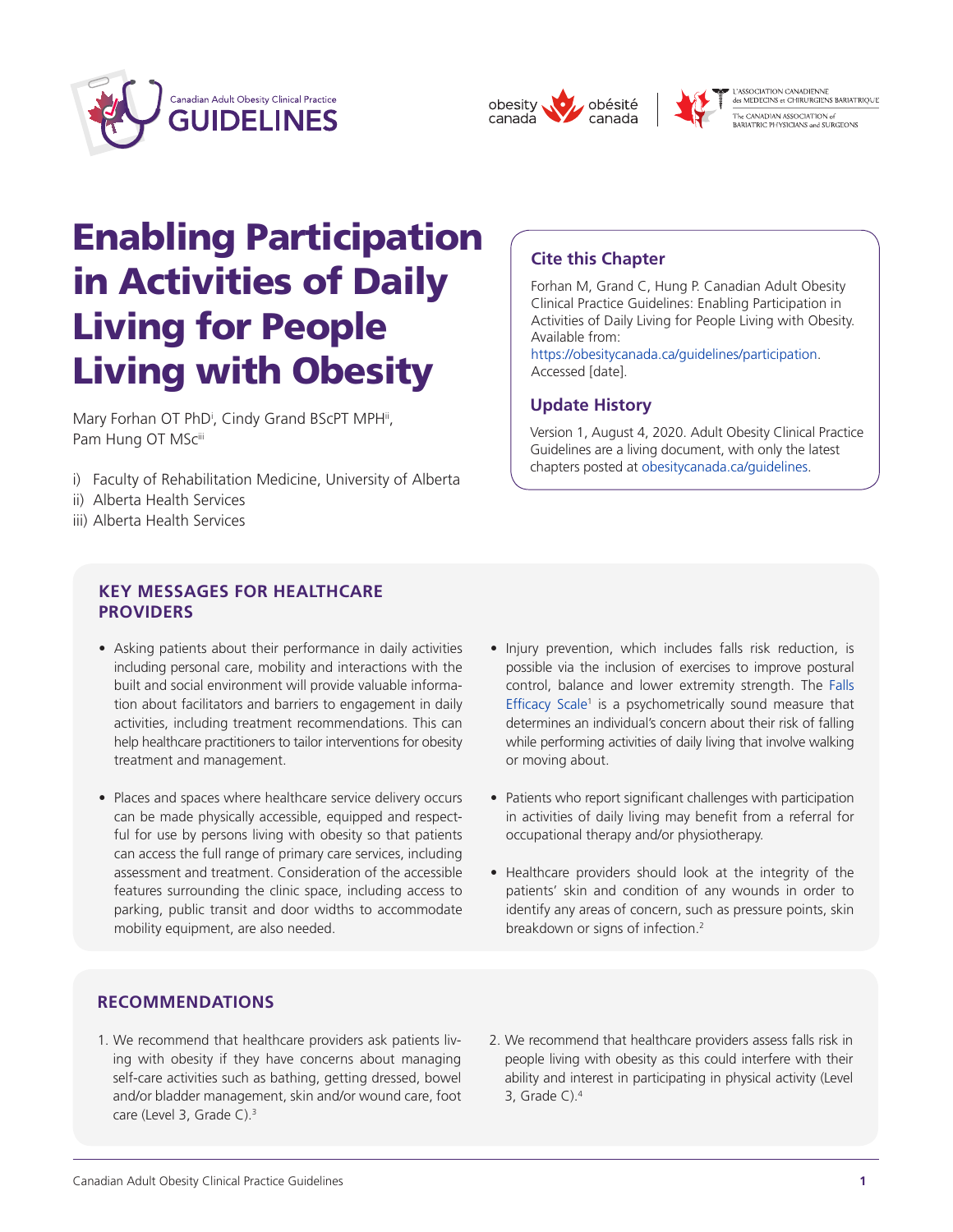



**Cite this Chapter**

Available from:

Accessed [date].

**Update History**



Forhan M, Grand C, Hung P. Canadian Adult Obesity Clinical Practice Guidelines: Enabling Participation in Activities of Daily Living for People Living with Obesity.

[https://obesitycanada.ca/guidelines/participation.](https://obesitycanada.ca/guidelines/participation/)

Version 1, August 4, 2020. Adult Obesity Clinical Practice Guidelines are a living document, with only the latest chapters posted at [obesitycanada.ca/guidelines.](https://obesitycanada.ca/guidelines/)

L'ASSOCIATION CANADIENNE<br>des MEDECINS et CHIRURGIENS BARIATRIQUE -<br>The CANADIAN ASSOCIATION of<br>BARIATRIC PHYSICIANS and SURGEONS

# Enabling Participation in Activities of Daily Living for People Living with Obesity

Mary Forhan OT PhD<sup>i</sup>, Cindy Grand BScPT MPH<sup>ii</sup>, Pam Hung OT MSciii

- i) Faculty of Rehabilitation Medicine, University of Alberta
- ii) Alberta Health Services
- iii) Alberta Health Services

## **KEY MESSAGES FOR HEALTHCARE PROVIDERS**

- Asking patients about their performance in daily activities including personal care, mobility and interactions with the built and social environment will provide valuable information about facilitators and barriers to engagement in daily activities, including treatment recommendations. This can help healthcare practitioners to tailor interventions for obesity treatment and management.
- Places and spaces where healthcare service delivery occurs can be made physically accessible, equipped and respectful for use by persons living with obesity so that patients can access the full range of primary care services, including assessment and treatment. Consideration of the accessible features surrounding the clinic space, including access to parking, public transit and door widths to accommodate mobility equipment, are also needed.

## • Injury prevention, which includes falls risk reduction, is possible via the inclusion of exercises to improve postural control, balance and lower extremity strength. The [Falls](https://www.sralab.org/sites/default/files/2018-08/Falls-Efficacy-Scale.pdf)

- [Efficacy](https://www.sralab.org/sites/default/files/2018-08/Falls-Efficacy-Scale.pdf) Scale<sup>1</sup> is a psychometrically sound measure that determines an individual's concern about their risk of falling while performing activities of daily living that involve walking or moving about.
- Patients who report significant challenges with participation in activities of daily living may benefit from a referral for occupational therapy and/or physiotherapy.
- Healthcare providers should look at the integrity of the patients' skin and condition of any wounds in order to identify any areas of concern, such as pressure points, skin breakdown or signs of infection.<sup>2</sup>

## **RECOMMENDATIONS**

- 1. We recommend that healthcare providers ask patients living with obesity if they have concerns about managing self-care activities such as bathing, getting dressed, bowel and/or bladder management, skin and/or wound care, foot care (Level 3, Grade C).<sup>3</sup>
- 2. We recommend that healthcare providers assess falls risk in people living with obesity as this could interfere with their ability and interest in participating in physical activity (Level 3, Grade C). $4$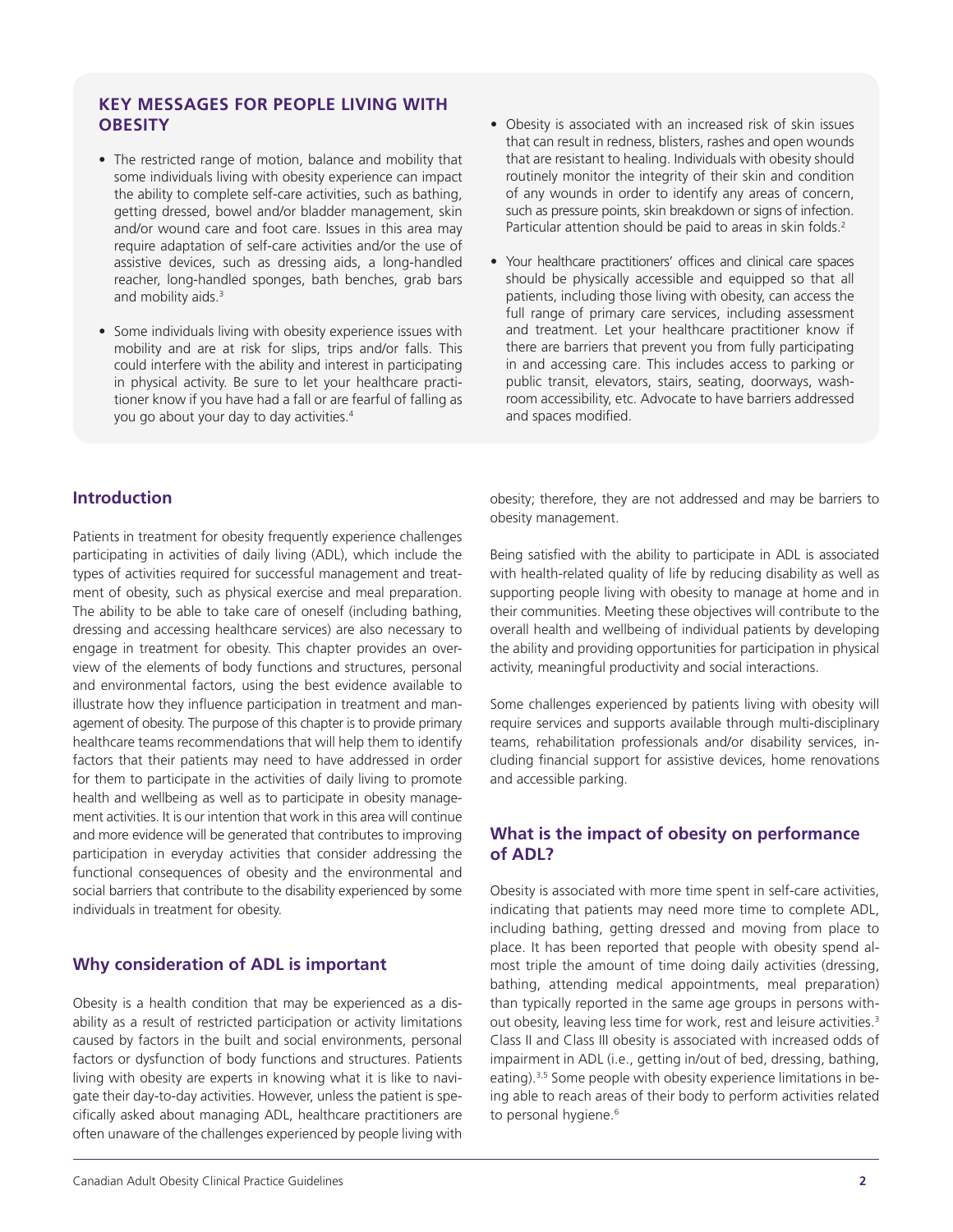## **KEY MESSAGES FOR PEOPLE LIVING WITH OBESITY**

- The restricted range of motion, balance and mobility that some individuals living with obesity experience can impact the ability to complete self-care activities, such as bathing, getting dressed, bowel and/or bladder management, skin and/or wound care and foot care. Issues in this area may require adaptation of self-care activities and/or the use of assistive devices, such as dressing aids, a long-handled reacher, long-handled sponges, bath benches, grab bars and mobility aids.<sup>3</sup>
- Some individuals living with obesity experience issues with mobility and are at risk for slips, trips and/or falls. This could interfere with the ability and interest in participating in physical activity. Be sure to let your healthcare practitioner know if you have had a fall or are fearful of falling as you go about your day to day activities.4
- Obesity is associated with an increased risk of skin issues that can result in redness, blisters, rashes and open wounds that are resistant to healing. Individuals with obesity should routinely monitor the integrity of their skin and condition of any wounds in order to identify any areas of concern, such as pressure points, skin breakdown or signs of infection. Particular attention should be paid to areas in skin folds.<sup>2</sup>
- Your healthcare practitioners' offices and clinical care spaces should be physically accessible and equipped so that all patients, including those living with obesity, can access the full range of primary care services, including assessment and treatment. Let your healthcare practitioner know if there are barriers that prevent you from fully participating in and accessing care. This includes access to parking or public transit, elevators, stairs, seating, doorways, washroom accessibility, etc. Advocate to have barriers addressed and spaces modified.

## **Introduction**

Patients in treatment for obesity frequently experience challenges participating in activities of daily living (ADL), which include the types of activities required for successful management and treatment of obesity, such as physical exercise and meal preparation. The ability to be able to take care of oneself (including bathing, dressing and accessing healthcare services) are also necessary to engage in treatment for obesity. This chapter provides an overview of the elements of body functions and structures, personal and environmental factors, using the best evidence available to illustrate how they influence participation in treatment and management of obesity. The purpose of this chapter is to provide primary healthcare teams recommendations that will help them to identify factors that their patients may need to have addressed in order for them to participate in the activities of daily living to promote health and wellbeing as well as to participate in obesity management activities. It is our intention that work in this area will continue and more evidence will be generated that contributes to improving participation in everyday activities that consider addressing the functional consequences of obesity and the environmental and social barriers that contribute to the disability experienced by some individuals in treatment for obesity.

## **Why consideration of ADL is important**

Obesity is a health condition that may be experienced as a disability as a result of restricted participation or activity limitations caused by factors in the built and social environments, personal factors or dysfunction of body functions and structures. Patients living with obesity are experts in knowing what it is like to navigate their day-to-day activities. However, unless the patient is specifically asked about managing ADL, healthcare practitioners are often unaware of the challenges experienced by people living with

obesity; therefore, they are not addressed and may be barriers to obesity management.

Being satisfied with the ability to participate in ADL is associated with health-related quality of life by reducing disability as well as supporting people living with obesity to manage at home and in their communities. Meeting these objectives will contribute to the overall health and wellbeing of individual patients by developing the ability and providing opportunities for participation in physical activity, meaningful productivity and social interactions.

Some challenges experienced by patients living with obesity will require services and supports available through multi-disciplinary teams, rehabilitation professionals and/or disability services, including financial support for assistive devices, home renovations and accessible parking.

## **What is the impact of obesity on performance of ADL?**

Obesity is associated with more time spent in self-care activities, indicating that patients may need more time to complete ADL, including bathing, getting dressed and moving from place to place. It has been reported that people with obesity spend almost triple the amount of time doing daily activities (dressing, bathing, attending medical appointments, meal preparation) than typically reported in the same age groups in persons without obesity, leaving less time for work, rest and leisure activities.3 Class II and Class III obesity is associated with increased odds of impairment in ADL (i.e., getting in/out of bed, dressing, bathing, eating).<sup>3,5</sup> Some people with obesity experience limitations in being able to reach areas of their body to perform activities related to personal hygiene.<sup>6</sup>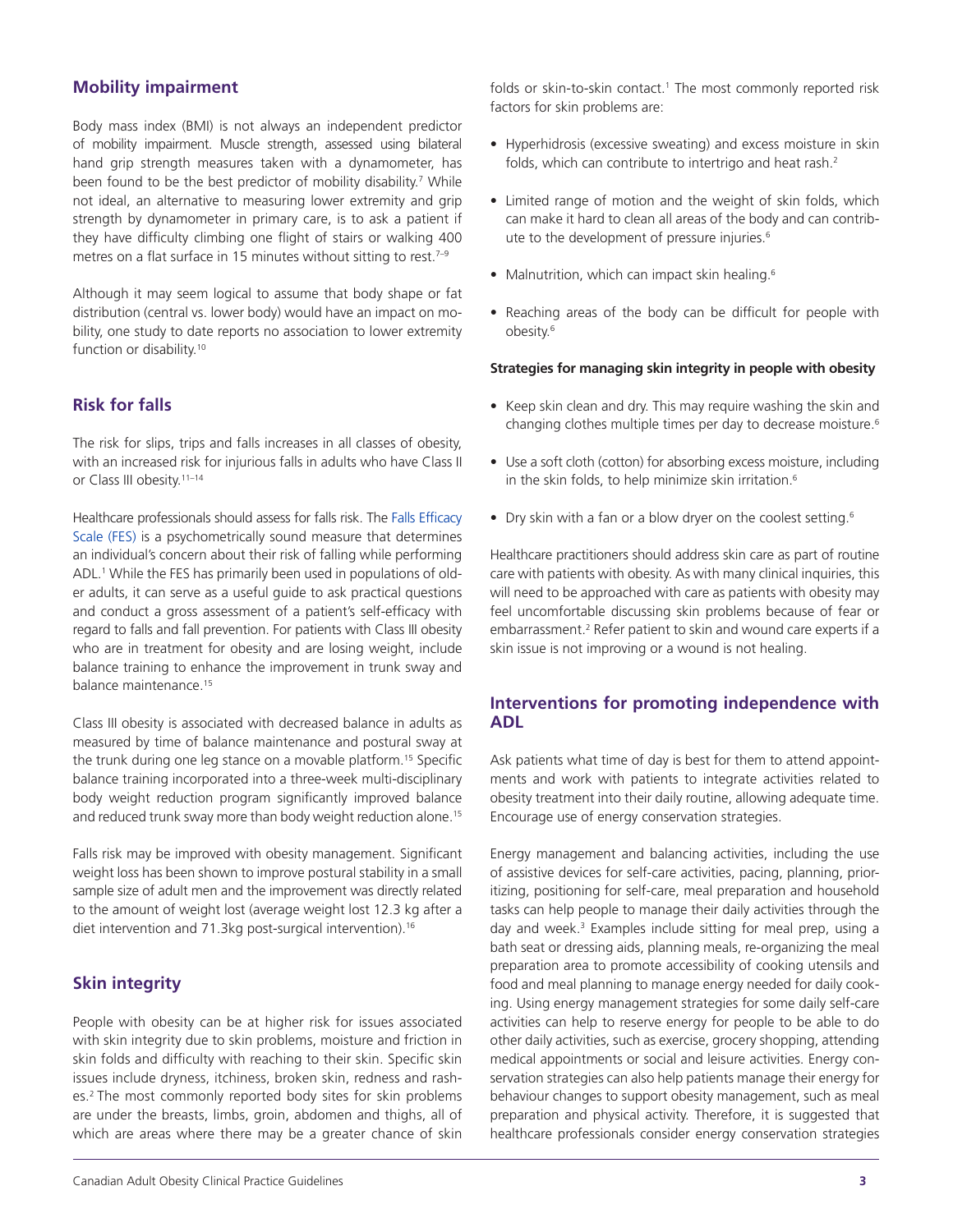## **Mobility impairment**

Body mass index (BMI) is not always an independent predictor of mobility impairment. Muscle strength, assessed using bilateral hand grip strength measures taken with a dynamometer, has been found to be the best predictor of mobility disability.<sup>7</sup> While not ideal, an alternative to measuring lower extremity and grip strength by dynamometer in primary care, is to ask a patient if they have difficulty climbing one flight of stairs or walking 400 metres on a flat surface in 15 minutes without sitting to rest.<sup>7-9</sup>

Although it may seem logical to assume that body shape or fat distribution (central vs. lower body) would have an impact on mobility, one study to date reports no association to lower extremity function or disability.<sup>10</sup>

## **Risk for falls**

The risk for slips, trips and falls increases in all classes of obesity, with an increased risk for injurious falls in adults who have Class II or Class III obesity.<sup>11-14</sup>

Healthcare professionals should assess for falls risk. The Falls [Efficacy](https://www.sralab.org/sites/default/files/2018-08/Falls-Efficacy-Scale.pdf) [Scale](https://www.sralab.org/sites/default/files/2018-08/Falls-Efficacy-Scale.pdf) (FES) is a psychometrically sound measure that determines an individual's concern about their risk of falling while performing ADL.<sup>1</sup> While the FES has primarily been used in populations of older adults, it can serve as a useful guide to ask practical questions and conduct a gross assessment of a patient's self-efficacy with regard to falls and fall prevention. For patients with Class III obesity who are in treatment for obesity and are losing weight, include balance training to enhance the improvement in trunk sway and balance maintenance.15

Class III obesity is associated with decreased balance in adults as measured by time of balance maintenance and postural sway at the trunk during one leg stance on a movable platform.15 Specific balance training incorporated into a three-week multi-disciplinary body weight reduction program significantly improved balance and reduced trunk sway more than body weight reduction alone.<sup>15</sup>

Falls risk may be improved with obesity management. Significant weight loss has been shown to improve postural stability in a small sample size of adult men and the improvement was directly related to the amount of weight lost (average weight lost 12.3 kg after a diet intervention and 71.3kg post-surgical intervention).<sup>16</sup>

## **Skin integrity**

People with obesity can be at higher risk for issues associated with skin integrity due to skin problems, moisture and friction in skin folds and difficulty with reaching to their skin. Specific skin issues include dryness, itchiness, broken skin, redness and rashes.<sup>2</sup> The most commonly reported body sites for skin problems are under the breasts, limbs, groin, abdomen and thighs, all of which are areas where there may be a greater chance of skin folds or skin-to-skin contact.<sup>1</sup> The most commonly reported risk factors for skin problems are:

- Hyperhidrosis (excessive sweating) and excess moisture in skin folds, which can contribute to intertrigo and heat rash.<sup>2</sup>
- Limited range of motion and the weight of skin folds, which can make it hard to clean all areas of the body and can contribute to the development of pressure injuries.<sup>6</sup>
- Malnutrition, which can impact skin healing.<sup>6</sup>
- Reaching areas of the body can be difficult for people with obesity.<sup>6</sup>

#### **Strategies for managing skin integrity in people with obesity**

- Keep skin clean and dry. This may require washing the skin and changing clothes multiple times per day to decrease moisture.<sup>6</sup>
- Use a soft cloth (cotton) for absorbing excess moisture, including in the skin folds, to help minimize skin irritation.<sup>6</sup>
- Dry skin with a fan or a blow dryer on the coolest setting.<sup>6</sup>

Healthcare practitioners should address skin care as part of routine care with patients with obesity. As with many clinical inquiries, this will need to be approached with care as patients with obesity may feel uncomfortable discussing skin problems because of fear or embarrassment.<sup>2</sup> Refer patient to skin and wound care experts if a skin issue is not improving or a wound is not healing.

## **Interventions for promoting independence with ADL**

Ask patients what time of day is best for them to attend appointments and work with patients to integrate activities related to obesity treatment into their daily routine, allowing adequate time. Encourage use of energy conservation strategies.

Energy management and balancing activities, including the use of assistive devices for self-care activities, pacing, planning, prioritizing, positioning for self-care, meal preparation and household tasks can help people to manage their daily activities through the day and week.<sup>3</sup> Examples include sitting for meal prep, using a bath seat or dressing aids, planning meals, re-organizing the meal preparation area to promote accessibility of cooking utensils and food and meal planning to manage energy needed for daily cooking. Using energy management strategies for some daily self-care activities can help to reserve energy for people to be able to do other daily activities, such as exercise, grocery shopping, attending medical appointments or social and leisure activities. Energy conservation strategies can also help patients manage their energy for behaviour changes to support obesity management, such as meal preparation and physical activity. Therefore, it is suggested that healthcare professionals consider energy conservation strategies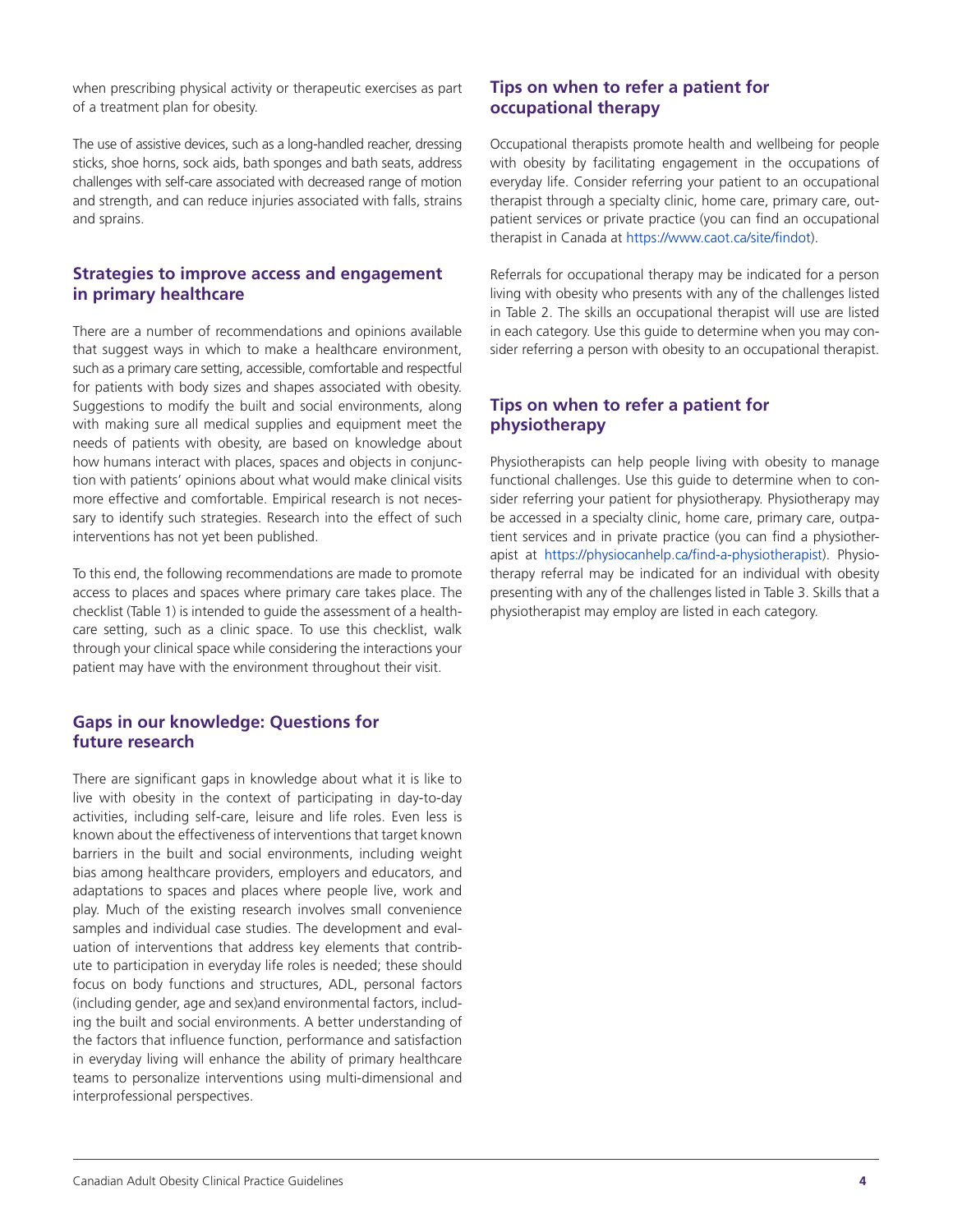when prescribing physical activity or therapeutic exercises as part of a treatment plan for obesity.

The use of assistive devices, such as a long-handled reacher, dressing sticks, shoe horns, sock aids, bath sponges and bath seats, address challenges with self-care associated with decreased range of motion and strength, and can reduce injuries associated with falls, strains and sprains.

## **Strategies to improve access and engagement in primary healthcare**

There are a number of recommendations and opinions available that suggest ways in which to make a healthcare environment, such as a primary care setting, accessible, comfortable and respectful for patients with body sizes and shapes associated with obesity. Suggestions to modify the built and social environments, along with making sure all medical supplies and equipment meet the needs of patients with obesity, are based on knowledge about how humans interact with places, spaces and objects in conjunction with patients' opinions about what would make clinical visits more effective and comfortable. Empirical research is not necessary to identify such strategies. Research into the effect of such interventions has not yet been published.

To this end, the following recommendations are made to promote access to places and spaces where primary care takes place. The checklist (Table 1) is intended to guide the assessment of a healthcare setting, such as a clinic space. To use this checklist, walk through your clinical space while considering the interactions your patient may have with the environment throughout their visit.

## **Gaps in our knowledge: Questions for future research**

There are significant gaps in knowledge about what it is like to live with obesity in the context of participating in day-to-day activities, including self-care, leisure and life roles. Even less is known about the effectiveness of interventions that target known barriers in the built and social environments, including weight bias among healthcare providers, employers and educators, and adaptations to spaces and places where people live, work and play. Much of the existing research involves small convenience samples and individual case studies. The development and evaluation of interventions that address key elements that contribute to participation in everyday life roles is needed; these should focus on body functions and structures, ADL, personal factors (including gender, age and sex)and environmental factors, including the built and social environments. A better understanding of the factors that influence function, performance and satisfaction in everyday living will enhance the ability of primary healthcare teams to personalize interventions using multi-dimensional and interprofessional perspectives.

## **Tips on when to refer a patient for occupational therapy**

Occupational therapists promote health and wellbeing for people with obesity by facilitating engagement in the occupations of everyday life. Consider referring your patient to an occupational therapist through a specialty clinic, home care, primary care, outpatient services or private practice (you can find an occupational therapist in Canada at [https://www.caot.ca/site/findot\).](https://www.caot.ca/site/findot)

Referrals for occupational therapy may be indicated for a person living with obesity who presents with any of the challenges listed in Table 2. The skills an occupational therapist will use are listed in each category. Use this guide to determine when you may consider referring a person with obesity to an occupational therapist.

## **Tips on when to refer a patient for physiotherapy**

Physiotherapists can help people living with obesity to manage functional challenges. Use this guide to determine when to consider referring your patient for physiotherapy. Physiotherapy may be accessed in a specialty clinic, home care, primary care, outpatient services and in private practice (you can find a physiotherapist at [https://physiocanhelp.ca/find-a-physiotherapist\).](https://physiocanhelp.ca/find-a-physiotherapist) Physiotherapy referral may be indicated for an individual with obesity presenting with any of the challenges listed in Table 3. Skills that a physiotherapist may employ are listed in each category.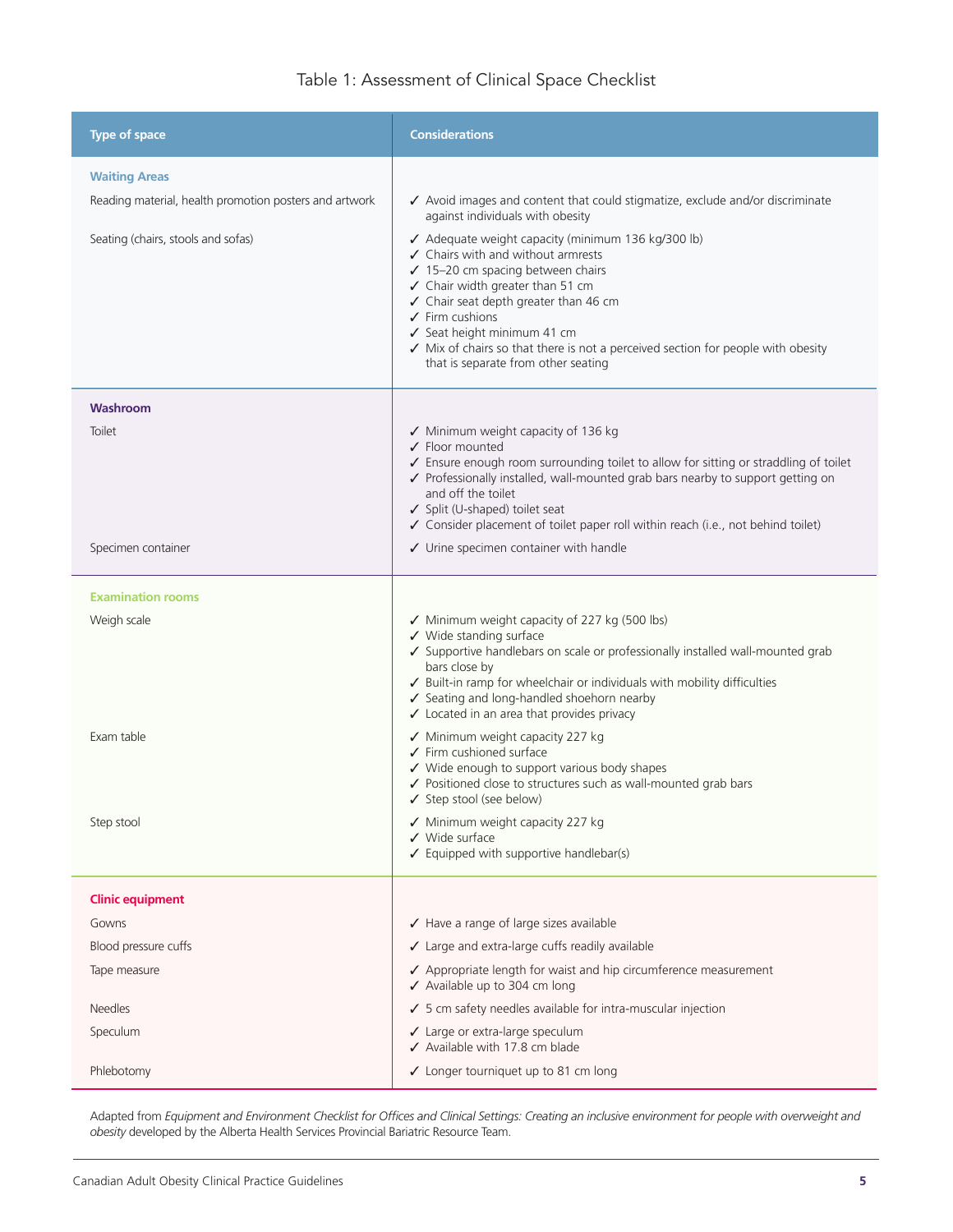## Table 1: Assessment of Clinical Space Checklist

| <b>Type of space</b>                                                                                                 | <b>Considerations</b>                                                                                                                                                                                                                                                                                                                                                                                                                                                                                                                                                                                                                                                                     |
|----------------------------------------------------------------------------------------------------------------------|-------------------------------------------------------------------------------------------------------------------------------------------------------------------------------------------------------------------------------------------------------------------------------------------------------------------------------------------------------------------------------------------------------------------------------------------------------------------------------------------------------------------------------------------------------------------------------------------------------------------------------------------------------------------------------------------|
| <b>Waiting Areas</b><br>Reading material, health promotion posters and artwork<br>Seating (chairs, stools and sofas) | ✔ Avoid images and content that could stigmatize, exclude and/or discriminate<br>against individuals with obesity<br>√ Adequate weight capacity (minimum 136 kg/300 lb)<br>$\checkmark$ Chairs with and without armrests<br>√ 15-20 cm spacing between chairs<br>✓ Chair width greater than 51 cm<br>✓ Chair seat depth greater than 46 cm<br>$\checkmark$ Firm cushions<br>✔ Seat height minimum 41 cm<br>√ Mix of chairs so that there is not a perceived section for people with obesity<br>that is separate from other seating                                                                                                                                                        |
| Washroom<br>Toilet<br>Specimen container                                                                             | ✔ Minimum weight capacity of 136 kg<br>✔ Floor mounted<br>✔ Ensure enough room surrounding toilet to allow for sitting or straddling of toilet<br>✔ Professionally installed, wall-mounted grab bars nearby to support getting on<br>and off the toilet<br>✔ Split (U-shaped) toilet seat<br>✔ Consider placement of toilet paper roll within reach (i.e., not behind toilet)<br>$\checkmark$ Urine specimen container with handle                                                                                                                                                                                                                                                        |
| <b>Examination rooms</b><br>Weigh scale<br>Exam table<br>Step stool                                                  | ✔ Minimum weight capacity of 227 kg (500 lbs)<br>✔ Wide standing surface<br>✔ Supportive handlebars on scale or professionally installed wall-mounted grab<br>bars close by<br>✔ Built-in ramp for wheelchair or individuals with mobility difficulties<br>✔ Seating and long-handled shoehorn nearby<br>✔ Located in an area that provides privacy<br>✔ Minimum weight capacity 227 kg<br>$\checkmark$ Firm cushioned surface<br>✔ Wide enough to support various body shapes<br>✔ Positioned close to structures such as wall-mounted grab bars<br>✔ Step stool (see below)<br>√ Minimum weight capacity 227 kg<br>$\checkmark$ Wide surface<br>✔ Equipped with supportive handlebar(s) |
| <b>Clinic equipment</b><br>Gowns<br>Blood pressure cuffs<br>Tape measure<br><b>Needles</b><br>Speculum<br>Phlebotomy | ✔ Have a range of large sizes available<br>✔ Large and extra-large cuffs readily available<br>✔ Appropriate length for waist and hip circumference measurement<br>✔ Available up to 304 cm long<br>✔ 5 cm safety needles available for intra-muscular injection<br>Large or extra-large speculum<br>✓<br>✔ Available with 17.8 cm blade<br>✔ Longer tourniquet up to 81 cm long                                                                                                                                                                                                                                                                                                           |

Adapted from *Equipment and Environment Checklist for Offices and Clinical Settings: Creating an inclusive environment for people with overweight and obesity* developed by the Alberta Health Services Provincial Bariatric Resource Team.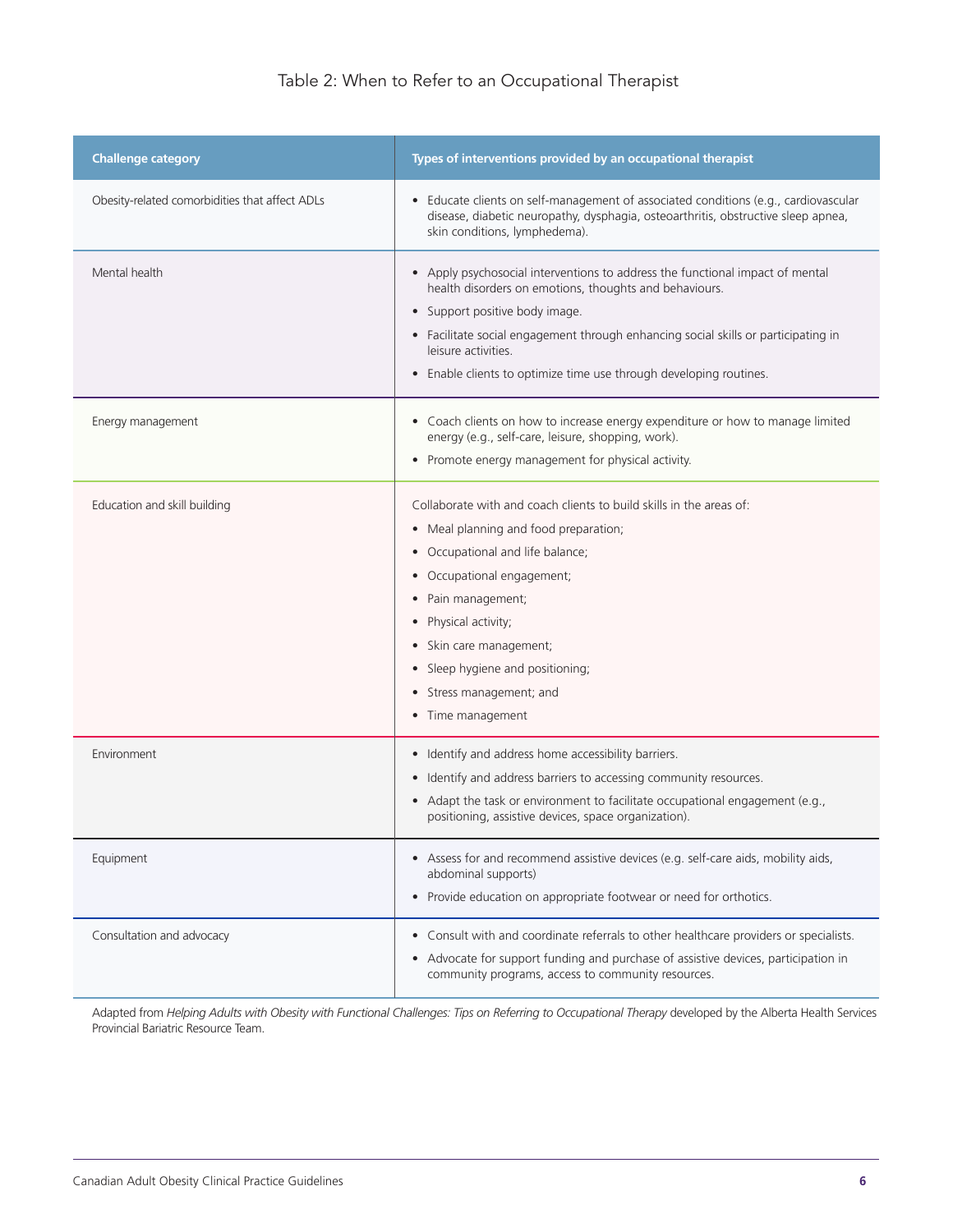## Table 2: When to Refer to an Occupational Therapist

| <b>Challenge category</b>                      | Types of interventions provided by an occupational therapist                                                                                                                                                                                                                                                                                                                                                                                    |
|------------------------------------------------|-------------------------------------------------------------------------------------------------------------------------------------------------------------------------------------------------------------------------------------------------------------------------------------------------------------------------------------------------------------------------------------------------------------------------------------------------|
| Obesity-related comorbidities that affect ADLs | • Educate clients on self-management of associated conditions (e.g., cardiovascular<br>disease, diabetic neuropathy, dysphagia, osteoarthritis, obstructive sleep apnea,<br>skin conditions, lymphedema).                                                                                                                                                                                                                                       |
| Mental health                                  | • Apply psychosocial interventions to address the functional impact of mental<br>health disorders on emotions, thoughts and behaviours.<br>Support positive body image.<br>$\bullet$<br>• Facilitate social engagement through enhancing social skills or participating in<br>leisure activities.<br>Enable clients to optimize time use through developing routines.<br>$\bullet$                                                              |
| Energy management                              | • Coach clients on how to increase energy expenditure or how to manage limited<br>energy (e.g., self-care, leisure, shopping, work).<br>• Promote energy management for physical activity.                                                                                                                                                                                                                                                      |
| Education and skill building                   | Collaborate with and coach clients to build skills in the areas of:<br>Meal planning and food preparation;<br>$\bullet$<br>Occupational and life balance;<br>$\bullet$<br>Occupational engagement;<br>$\bullet$<br>Pain management;<br>$\bullet$<br>Physical activity;<br>$\bullet$<br>Skin care management;<br>$\bullet$<br>Sleep hygiene and positioning;<br>$\bullet$<br>Stress management; and<br>$\bullet$<br>Time management<br>$\bullet$ |
| Environment                                    | Identify and address home accessibility barriers.<br>$\bullet$<br>Identify and address barriers to accessing community resources.<br>$\bullet$<br>• Adapt the task or environment to facilitate occupational engagement (e.g.,<br>positioning, assistive devices, space organization).                                                                                                                                                          |
| Equipment                                      | • Assess for and recommend assistive devices (e.g. self-care aids, mobility aids,<br>abdominal supports)<br>Provide education on appropriate footwear or need for orthotics.<br>$\bullet$                                                                                                                                                                                                                                                       |
| Consultation and advocacy                      | Consult with and coordinate referrals to other healthcare providers or specialists.<br>$\bullet$<br>• Advocate for support funding and purchase of assistive devices, participation in<br>community programs, access to community resources.                                                                                                                                                                                                    |

Adapted from *Helping Adults with Obesity with Functional Challenges: Tips on Referring to Occupational Therapy* developed by the Alberta Health Services Provincial Bariatric Resource Team.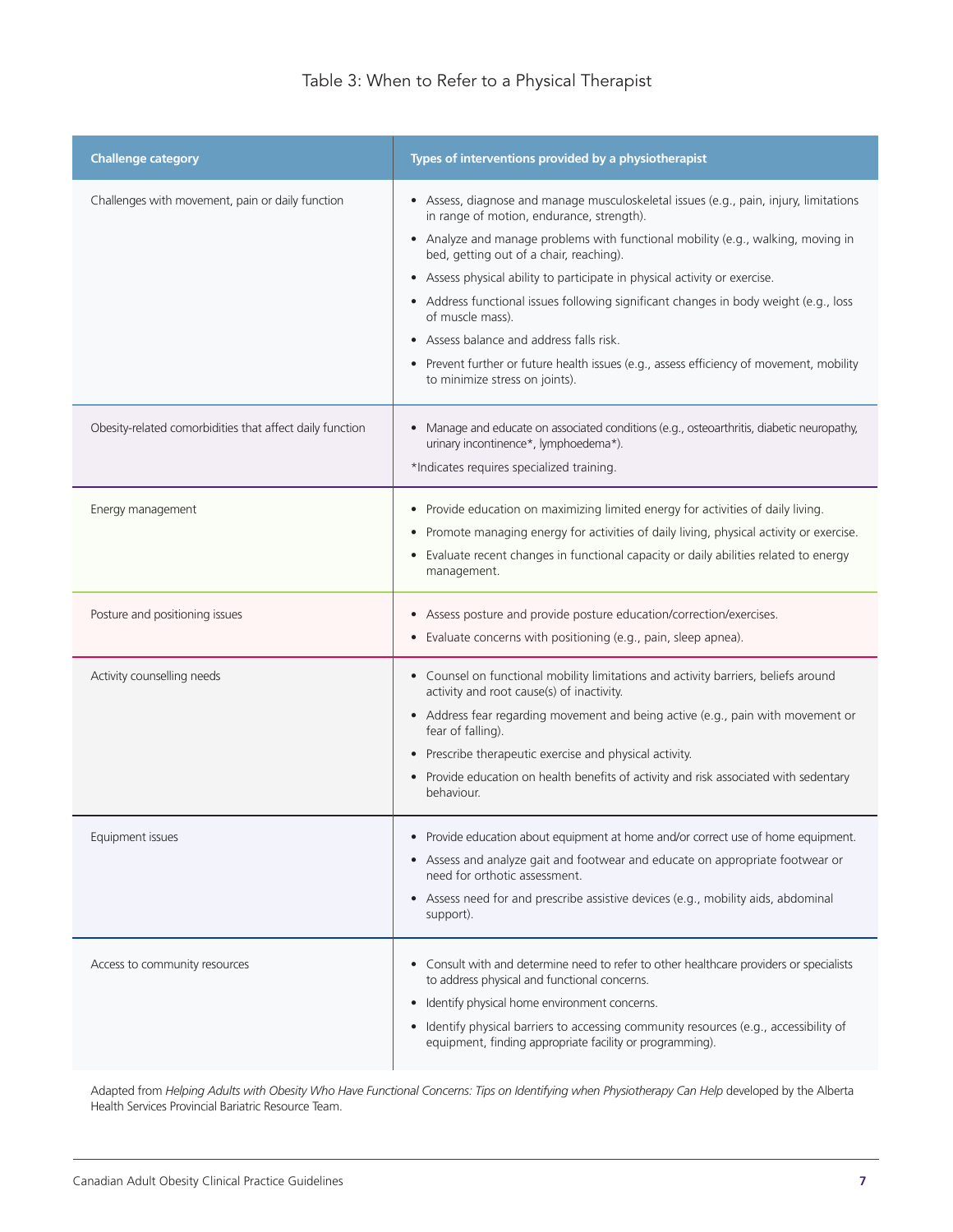| <b>Challenge category</b>                                | Types of interventions provided by a physiotherapist                                                                                                                                                                                                                                                                                                                                                                                                                                                                                                                                                                                                                   |
|----------------------------------------------------------|------------------------------------------------------------------------------------------------------------------------------------------------------------------------------------------------------------------------------------------------------------------------------------------------------------------------------------------------------------------------------------------------------------------------------------------------------------------------------------------------------------------------------------------------------------------------------------------------------------------------------------------------------------------------|
| Challenges with movement, pain or daily function         | • Assess, diagnose and manage musculoskeletal issues (e.g., pain, injury, limitations<br>in range of motion, endurance, strength).<br>• Analyze and manage problems with functional mobility (e.g., walking, moving in<br>bed, getting out of a chair, reaching).<br>Assess physical ability to participate in physical activity or exercise.<br>$\bullet$<br>Address functional issues following significant changes in body weight (e.g., loss<br>$\bullet$<br>of muscle mass).<br>Assess balance and address falls risk.<br>$\bullet$<br>• Prevent further or future health issues (e.g., assess efficiency of movement, mobility<br>to minimize stress on joints). |
| Obesity-related comorbidities that affect daily function | Manage and educate on associated conditions (e.g., osteoarthritis, diabetic neuropathy,<br>$\bullet$<br>urinary incontinence*, lymphoedema*).<br>*Indicates requires specialized training.                                                                                                                                                                                                                                                                                                                                                                                                                                                                             |
| Energy management                                        | Provide education on maximizing limited energy for activities of daily living.<br>$\bullet$<br>Promote managing energy for activities of daily living, physical activity or exercise.<br>$\bullet$<br>Evaluate recent changes in functional capacity or daily abilities related to energy<br>$\bullet$<br>management.                                                                                                                                                                                                                                                                                                                                                  |
| Posture and positioning issues                           | Assess posture and provide posture education/correction/exercises.<br>$\bullet$<br>Evaluate concerns with positioning (e.g., pain, sleep apnea).<br>$\bullet$                                                                                                                                                                                                                                                                                                                                                                                                                                                                                                          |
| Activity counselling needs                               | • Counsel on functional mobility limitations and activity barriers, beliefs around<br>activity and root cause(s) of inactivity.<br>• Address fear regarding movement and being active (e.g., pain with movement or<br>fear of falling).<br>• Prescribe therapeutic exercise and physical activity.<br>Provide education on health benefits of activity and risk associated with sedentary<br>$\bullet$<br>behaviour.                                                                                                                                                                                                                                                   |
| Equipment issues                                         | • Provide education about equipment at home and/or correct use of home equipment.<br>• Assess and analyze gait and footwear and educate on appropriate footwear or<br>need for orthotic assessment.<br>• Assess need for and prescribe assistive devices (e.g., mobility aids, abdominal<br>support).                                                                                                                                                                                                                                                                                                                                                                  |
| Access to community resources                            | Consult with and determine need to refer to other healthcare providers or specialists<br>$\bullet$<br>to address physical and functional concerns.<br>Identify physical home environment concerns.<br>$\bullet$<br>Identify physical barriers to accessing community resources (e.g., accessibility of<br>$\bullet$<br>equipment, finding appropriate facility or programming).                                                                                                                                                                                                                                                                                        |

Adapted from *Helping Adults with Obesity Who Have Functional Concerns: Tips on Identifying when Physiotherapy Can Help* developed by the Alberta Health Services Provincial Bariatric Resource Team.